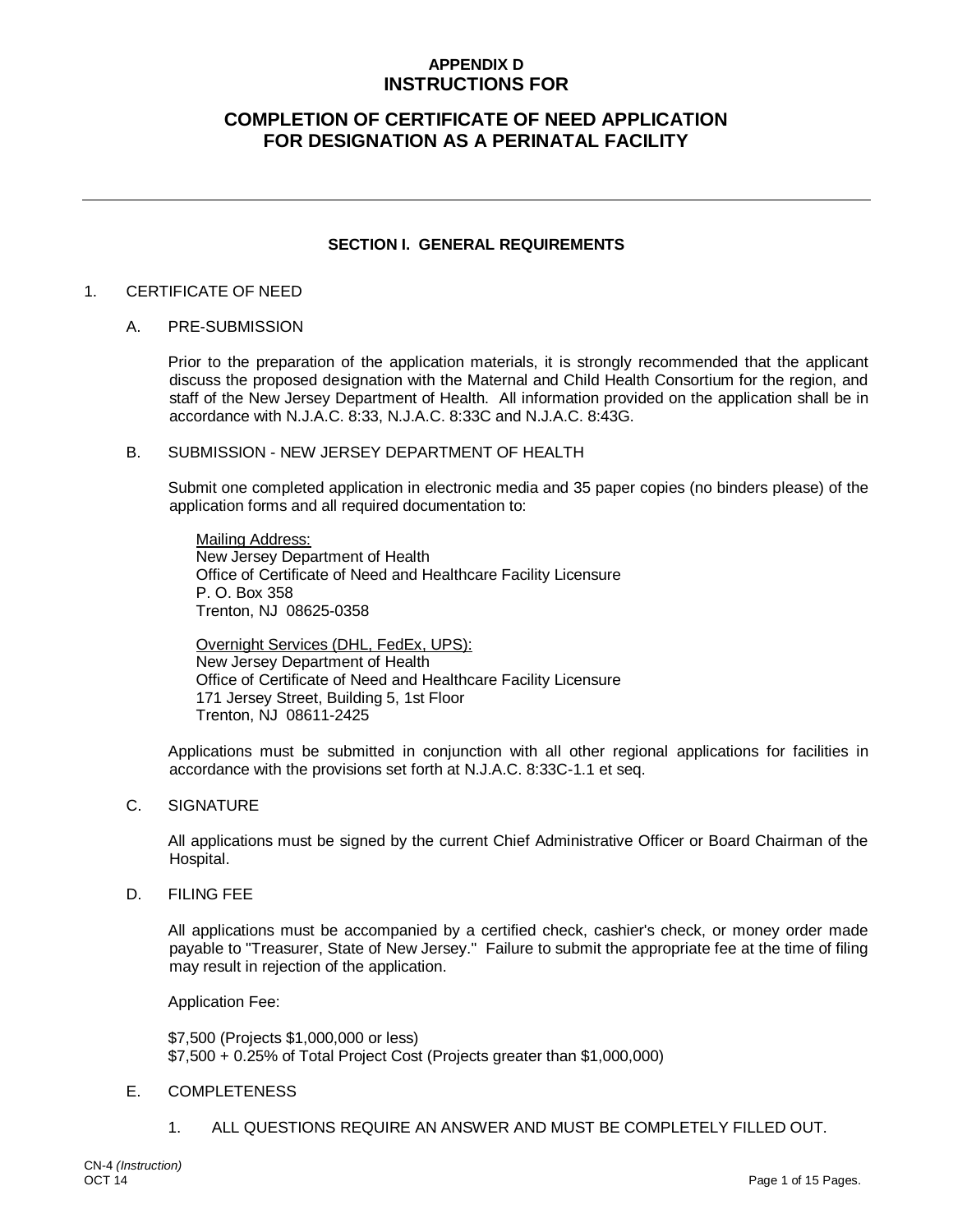## **APPENDIX D INSTRUCTIONS FOR**

# **COMPLETION OF CERTIFICATE OF NEED APPLICATION FOR DESIGNATION AS A PERINATAL FACILITY**

#### **SECTION I. GENERAL REQUIREMENTS**

#### 1. CERTIFICATE OF NEED

#### A. PRE-SUBMISSION

Prior to the preparation of the application materials, it is strongly recommended that the applicant discuss the proposed designation with the Maternal and Child Health Consortium for the region, and staff of the New Jersey Department of Health. All information provided on the application shall be in accordance with N.J.A.C. 8:33, N.J.A.C. 8:33C and N.J.A.C. 8:43G.

#### B. SUBMISSION - NEW JERSEY DEPARTMENT OF HEALTH

Submit one completed application in electronic media and 35 paper copies (no binders please) of the application forms and all required documentation to:

Mailing Address: New Jersey Department of Health Office of Certificate of Need and Healthcare Facility Licensure P. O. Box 358 Trenton, NJ 08625-0358

Overnight Services (DHL, FedEx, UPS): New Jersey Department of Health Office of Certificate of Need and Healthcare Facility Licensure 171 Jersey Street, Building 5, 1st Floor Trenton, NJ 08611-2425

Applications must be submitted in conjunction with all other regional applications for facilities in accordance with the provisions set forth at N.J.A.C. 8:33C-1.1 et seq.

C. SIGNATURE

All applications must be signed by the current Chief Administrative Officer or Board Chairman of the Hospital.

D. FILING FEE

All applications must be accompanied by a certified check, cashier's check, or money order made payable to "Treasurer, State of New Jersey." Failure to submit the appropriate fee at the time of filing may result in rejection of the application.

Application Fee:

\$7,500 (Projects \$1,000,000 or less) \$7,500 + 0.25% of Total Project Cost (Projects greater than \$1,000,000)

#### E. COMPLETENESS

1. ALL QUESTIONS REQUIRE AN ANSWER AND MUST BE COMPLETELY FILLED OUT.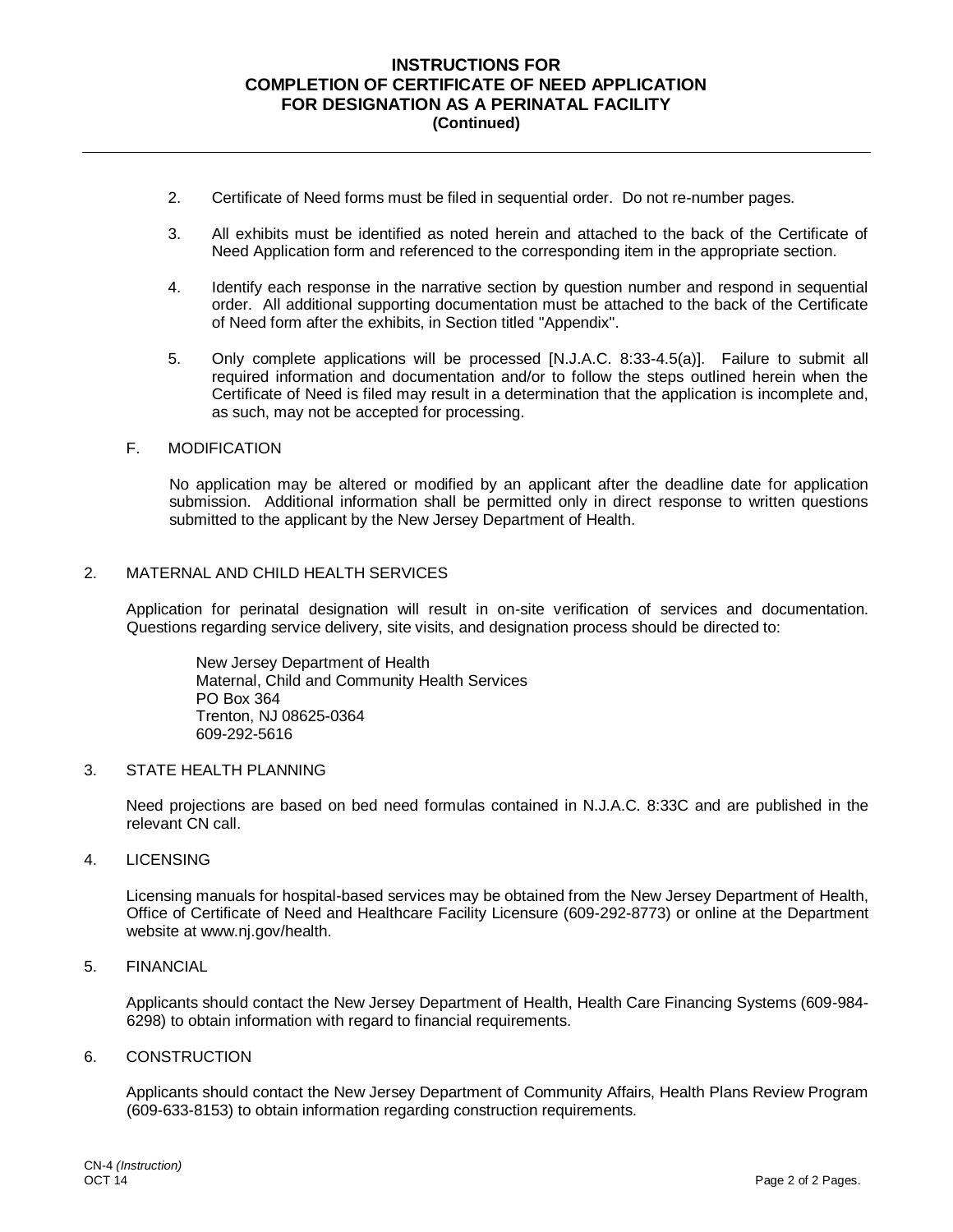#### **INSTRUCTIONS FOR COMPLETION OF CERTIFICATE OF NEED APPLICATION FOR DESIGNATION AS A PERINATAL FACILITY (Continued)**

- 2. Certificate of Need forms must be filed in sequential order. Do not re-number pages.
- 3. All exhibits must be identified as noted herein and attached to the back of the Certificate of Need Application form and referenced to the corresponding item in the appropriate section.
- 4. Identify each response in the narrative section by question number and respond in sequential order. All additional supporting documentation must be attached to the back of the Certificate of Need form after the exhibits, in Section titled "Appendix".
- 5. Only complete applications will be processed [N.J.A.C. 8:33-4.5(a)]. Failure to submit all required information and documentation and/or to follow the steps outlined herein when the Certificate of Need is filed may result in a determination that the application is incomplete and, as such, may not be accepted for processing.

#### F. MODIFICATION

No application may be altered or modified by an applicant after the deadline date for application submission. Additional information shall be permitted only in direct response to written questions submitted to the applicant by the New Jersey Department of Health.

#### 2. MATERNAL AND CHILD HEALTH SERVICES

Application for perinatal designation will result in on-site verification of services and documentation. Questions regarding service delivery, site visits, and designation process should be directed to:

New Jersey Department of Health Maternal, Child and Community Health Services PO Box 364 Trenton, NJ 08625-0364 609-292-5616

#### 3. STATE HEALTH PLANNING

Need projections are based on bed need formulas contained in N.J.A.C. 8:33C and are published in the relevant CN call.

#### 4. LICENSING

Licensing manuals for hospital-based services may be obtained from the New Jersey Department of Health, Office of Certificate of Need and Healthcare Facility Licensure (609-292-8773) or online at the Department website at www.nj.gov/health.

#### 5. FINANCIAL

Applicants should contact the New Jersey Department of Health, Health Care Financing Systems (609-984- 6298) to obtain information with regard to financial requirements.

#### 6. CONSTRUCTION

Applicants should contact the New Jersey Department of Community Affairs, Health Plans Review Program (609-633-8153) to obtain information regarding construction requirements.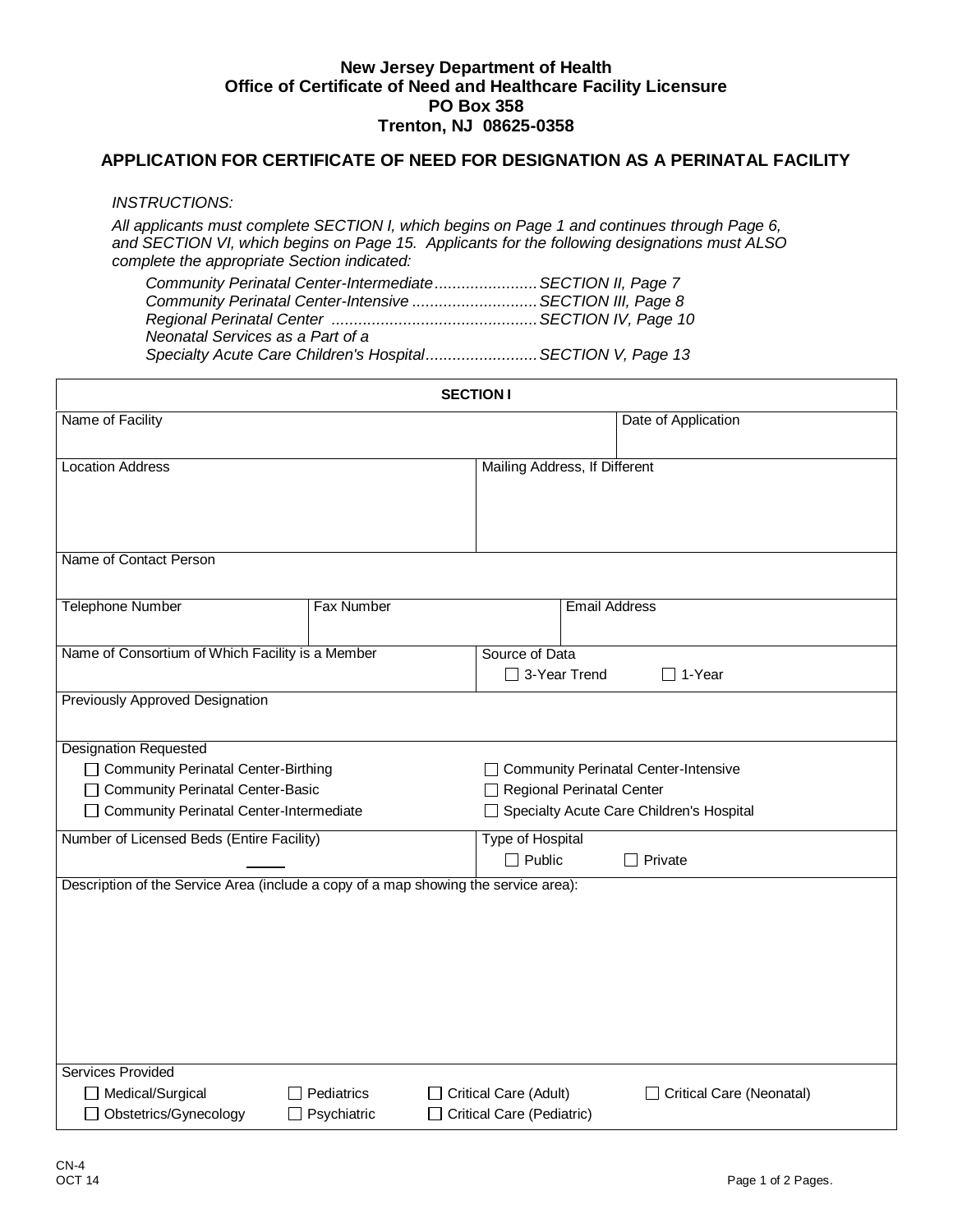#### **New Jersey Department of Health Office of Certificate of Need and Healthcare Facility Licensure PO Box 358 Trenton, NJ 08625-0358**

### **APPLICATION FOR CERTIFICATE OF NEED FOR DESIGNATION AS A PERINATAL FACILITY**

#### *INSTRUCTIONS:*

*All applicants must complete SECTION I, which begins on Page 1 and continues through Page 6, and SECTION VI, which begins on Page 15. Applicants for the following designations must ALSO complete the appropriate Section indicated:*

| Community Perinatal Center-IntermediateSECTION II, Page 7  |  |
|------------------------------------------------------------|--|
| Community Perinatal Center-Intensive SECTION III, Page 8   |  |
|                                                            |  |
| Neonatal Services as a Part of a                           |  |
| Specialty Acute Care Children's HospitalSECTION V, Page 13 |  |
|                                                            |  |

|                                                                                                                                                          |                                         | <b>SECTION I</b>                                                                                                       |
|----------------------------------------------------------------------------------------------------------------------------------------------------------|-----------------------------------------|------------------------------------------------------------------------------------------------------------------------|
| Name of Facility                                                                                                                                         |                                         | Date of Application                                                                                                    |
| <b>Location Address</b>                                                                                                                                  |                                         | Mailing Address, If Different                                                                                          |
| Name of Contact Person                                                                                                                                   |                                         |                                                                                                                        |
| <b>Telephone Number</b>                                                                                                                                  | <b>Fax Number</b>                       | <b>Email Address</b>                                                                                                   |
| Name of Consortium of Which Facility is a Member                                                                                                         |                                         | Source of Data<br>□ 3-Year Trend<br>$\Box$ 1-Year                                                                      |
| Previously Approved Designation                                                                                                                          |                                         |                                                                                                                        |
| <b>Designation Requested</b><br>□ Community Perinatal Center-Birthing<br>□ Community Perinatal Center-Basic<br>□ Community Perinatal Center-Intermediate |                                         | □ Community Perinatal Center-Intensive<br><b>Regional Perinatal Center</b><br>Specialty Acute Care Children's Hospital |
| Number of Licensed Beds (Entire Facility)                                                                                                                |                                         | <b>Type of Hospital</b><br>$\Box$ Public<br>$\Box$ Private                                                             |
| Description of the Service Area (include a copy of a map showing the service area):<br><b>Services Provided</b>                                          |                                         |                                                                                                                        |
| □ Medical/Surgical<br>□ Obstetrics/Gynecology                                                                                                            | $\Box$ Pediatrics<br>$\Box$ Psychiatric | Critical Care (Adult)<br>Critical Care (Neonatal)<br>Critical Care (Pediatric)                                         |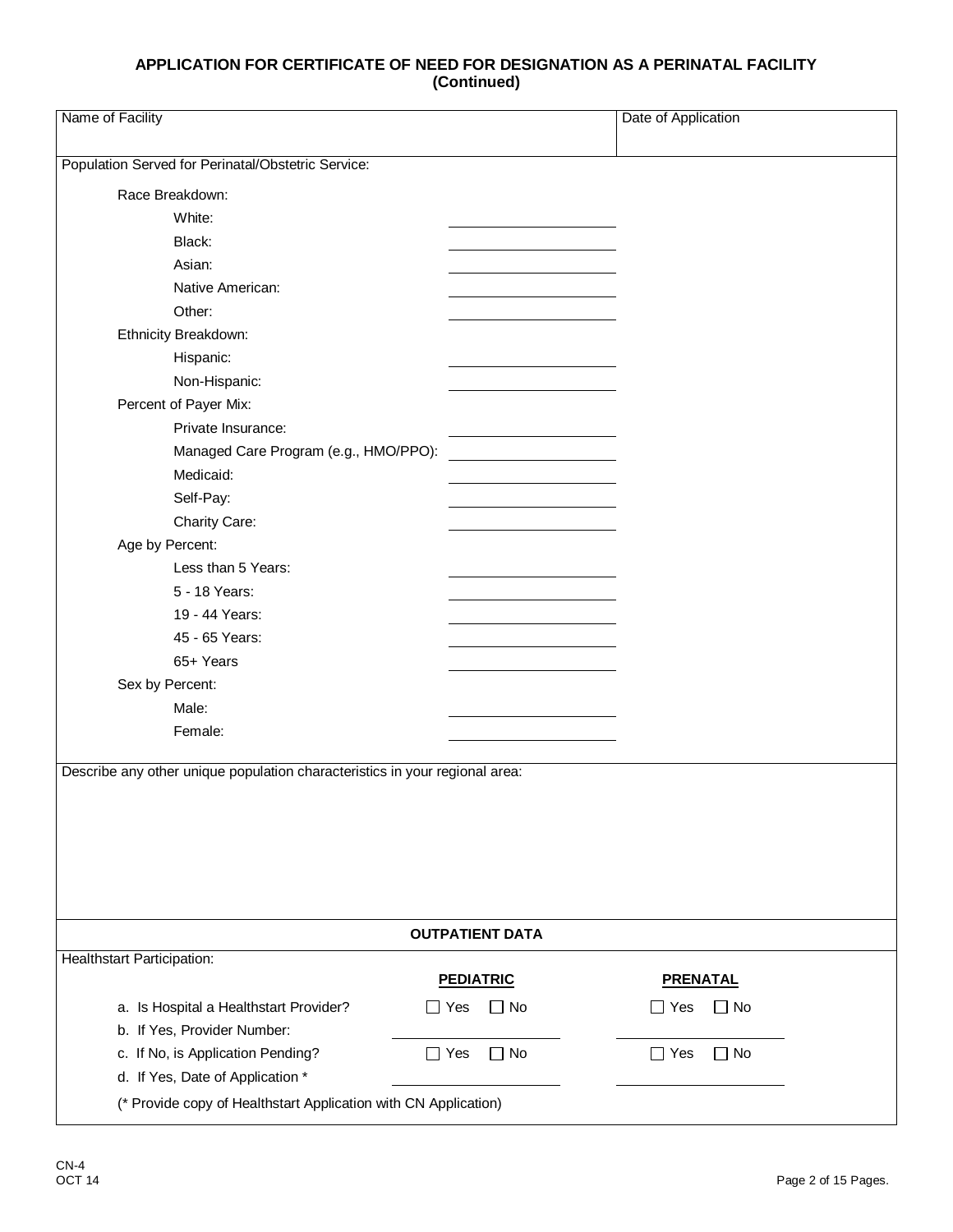| Name of Facility                                                            |                                                                 | Date of Application     |  |
|-----------------------------------------------------------------------------|-----------------------------------------------------------------|-------------------------|--|
| Population Served for Perinatal/Obstetric Service:                          |                                                                 |                         |  |
| Race Breakdown:                                                             |                                                                 |                         |  |
| White:                                                                      |                                                                 |                         |  |
| Black:                                                                      |                                                                 |                         |  |
| Asian:                                                                      |                                                                 |                         |  |
| Native American:                                                            |                                                                 |                         |  |
| Other:                                                                      |                                                                 |                         |  |
| Ethnicity Breakdown:                                                        |                                                                 |                         |  |
|                                                                             |                                                                 |                         |  |
| Hispanic:                                                                   |                                                                 |                         |  |
| Non-Hispanic:                                                               |                                                                 |                         |  |
| Percent of Payer Mix:                                                       |                                                                 |                         |  |
| Private Insurance:                                                          |                                                                 |                         |  |
| Managed Care Program (e.g., HMO/PPO):                                       |                                                                 |                         |  |
| Medicaid:                                                                   |                                                                 |                         |  |
| Self-Pay:                                                                   |                                                                 |                         |  |
| Charity Care:                                                               |                                                                 |                         |  |
| Age by Percent:                                                             |                                                                 |                         |  |
| Less than 5 Years:                                                          |                                                                 |                         |  |
| 5 - 18 Years:                                                               |                                                                 |                         |  |
| 19 - 44 Years:                                                              |                                                                 |                         |  |
| 45 - 65 Years:                                                              |                                                                 |                         |  |
| 65+ Years                                                                   |                                                                 |                         |  |
| Sex by Percent:                                                             |                                                                 |                         |  |
| Male:                                                                       |                                                                 |                         |  |
| Female:                                                                     |                                                                 |                         |  |
| Describe any other unique population characteristics in your regional area: |                                                                 |                         |  |
|                                                                             |                                                                 |                         |  |
|                                                                             |                                                                 |                         |  |
|                                                                             |                                                                 |                         |  |
|                                                                             |                                                                 |                         |  |
|                                                                             |                                                                 |                         |  |
|                                                                             | <b>OUTPATIENT DATA</b>                                          |                         |  |
| <b>Healthstart Participation:</b>                                           |                                                                 |                         |  |
|                                                                             | <b>PEDIATRIC</b>                                                | <b>PRENATAL</b>         |  |
| a. Is Hospital a Healthstart Provider?                                      | $\Box$ Yes<br>$\Box$ No                                         | $\Box$ Yes<br>$\Box$ No |  |
| b. If Yes, Provider Number:                                                 |                                                                 |                         |  |
| c. If No, is Application Pending?                                           | $\Box$ No<br>$\Box$ Yes                                         | $\Box$ Yes<br>$\Box$ No |  |
| d. If Yes, Date of Application *                                            |                                                                 |                         |  |
|                                                                             | (* Provide copy of Healthstart Application with CN Application) |                         |  |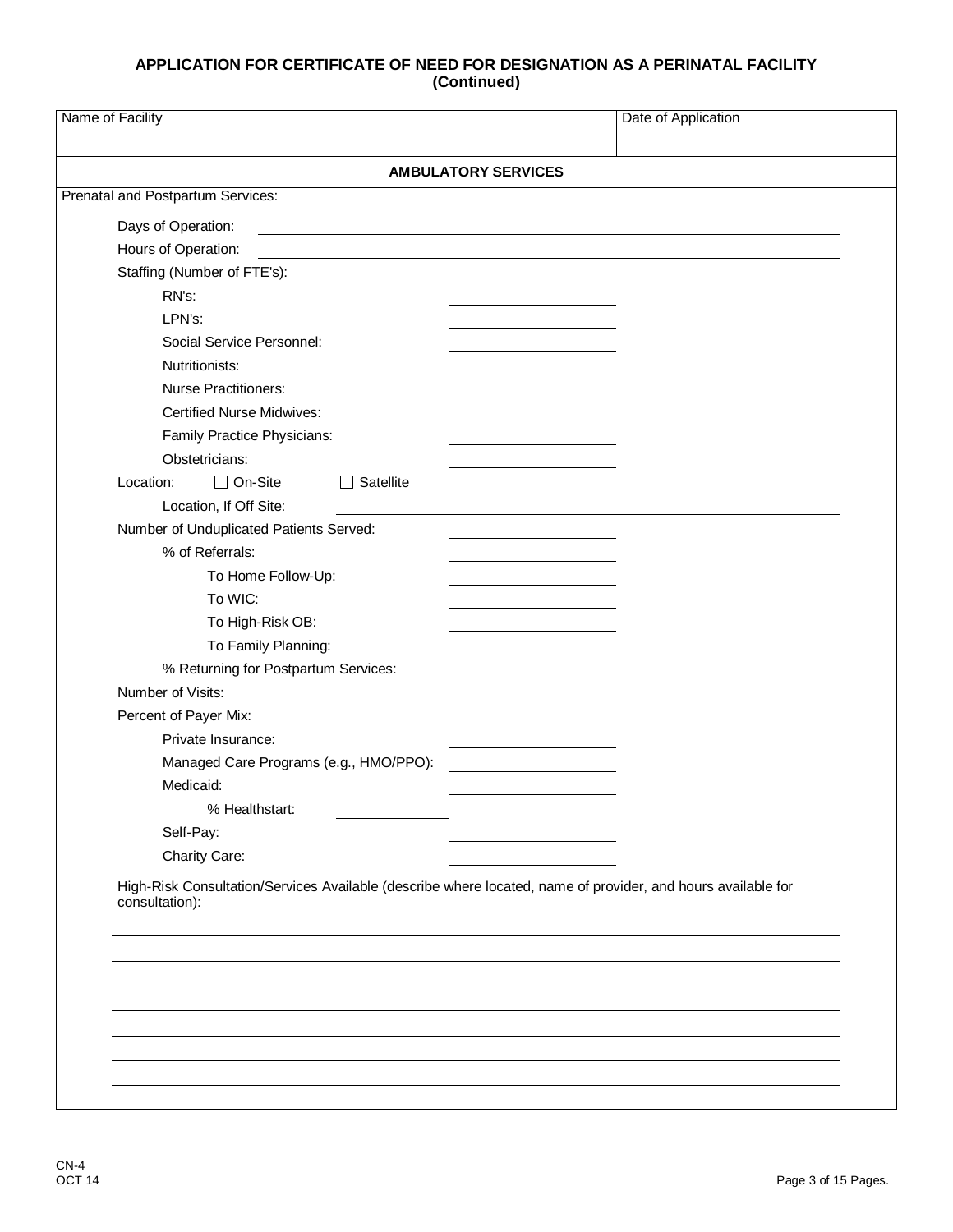| <b>AMBULATORY SERVICES</b>               |  |
|------------------------------------------|--|
| Prenatal and Postpartum Services:        |  |
| Days of Operation:                       |  |
| Hours of Operation:                      |  |
| Staffing (Number of FTE's):              |  |
| RN's:                                    |  |
| LPN's:                                   |  |
| Social Service Personnel:                |  |
| Nutritionists:                           |  |
| <b>Nurse Practitioners:</b>              |  |
| <b>Certified Nurse Midwives:</b>         |  |
| Family Practice Physicians:              |  |
| Obstetricians:                           |  |
| $\Box$ On-Site<br>Location:<br>Satellite |  |
| Location, If Off Site:                   |  |
| Number of Unduplicated Patients Served:  |  |
| % of Referrals:                          |  |
| To Home Follow-Up:                       |  |
| To WIC:                                  |  |
| To High-Risk OB:                         |  |
| To Family Planning:                      |  |
| % Returning for Postpartum Services:     |  |
| Number of Visits:                        |  |
| Percent of Payer Mix:                    |  |
| Private Insurance:                       |  |
| Managed Care Programs (e.g., HMO/PPO):   |  |
| Medicaid:                                |  |
| % Healthstart:                           |  |
| Self-Pay:<br>Charity Care:               |  |
|                                          |  |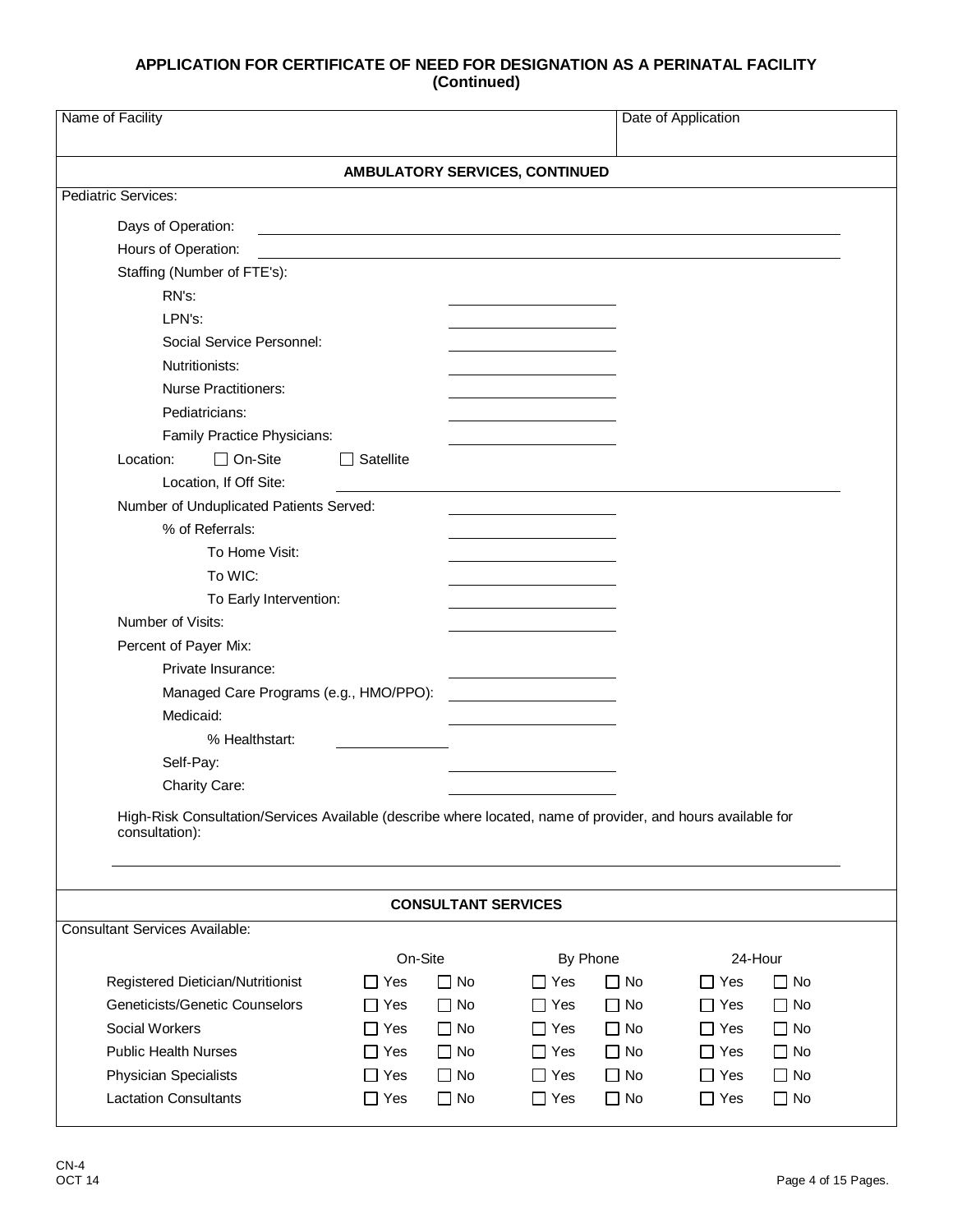| Name of Facility                                                                                                               |                     |                            |            |              | Date of Application        |
|--------------------------------------------------------------------------------------------------------------------------------|---------------------|----------------------------|------------|--------------|----------------------------|
| AMBULATORY SERVICES, CONTINUED                                                                                                 |                     |                            |            |              |                            |
| <b>Pediatric Services:</b>                                                                                                     |                     |                            |            |              |                            |
| Days of Operation:                                                                                                             |                     |                            |            |              |                            |
| Hours of Operation:                                                                                                            |                     |                            |            |              |                            |
| Staffing (Number of FTE's):                                                                                                    |                     |                            |            |              |                            |
| RN's:                                                                                                                          |                     |                            |            |              |                            |
| LPN's:                                                                                                                         |                     |                            |            |              |                            |
| Social Service Personnel:                                                                                                      |                     |                            |            |              |                            |
| Nutritionists:                                                                                                                 |                     |                            |            |              |                            |
| <b>Nurse Practitioners:</b>                                                                                                    |                     |                            |            |              |                            |
| Pediatricians:                                                                                                                 |                     |                            |            |              |                            |
| Family Practice Physicians:                                                                                                    |                     |                            |            |              |                            |
| $\Box$ On-Site<br>Location:                                                                                                    | Satellite           |                            |            |              |                            |
| Location, If Off Site:                                                                                                         |                     |                            |            |              |                            |
| Number of Unduplicated Patients Served:                                                                                        |                     |                            |            |              |                            |
| % of Referrals:                                                                                                                |                     |                            |            |              |                            |
| To Home Visit:                                                                                                                 |                     |                            |            |              |                            |
| To WIC:                                                                                                                        |                     |                            |            |              |                            |
| To Early Intervention:                                                                                                         |                     |                            |            |              |                            |
| Number of Visits:                                                                                                              |                     |                            |            |              |                            |
| Percent of Payer Mix:                                                                                                          |                     |                            |            |              |                            |
| Private Insurance:                                                                                                             |                     |                            |            |              |                            |
| Managed Care Programs (e.g., HMO/PPO):                                                                                         |                     |                            |            |              |                            |
| Medicaid:                                                                                                                      |                     |                            |            |              |                            |
| % Healthstart:                                                                                                                 |                     |                            |            |              |                            |
| Self-Pay:                                                                                                                      |                     |                            |            |              |                            |
| Charity Care:                                                                                                                  |                     |                            |            |              |                            |
| High-Risk Consultation/Services Available (describe where located, name of provider, and hours available for<br>consultation): |                     |                            |            |              |                            |
|                                                                                                                                |                     | <b>CONSULTANT SERVICES</b> |            |              |                            |
| <b>Consultant Services Available:</b>                                                                                          |                     |                            |            |              |                            |
|                                                                                                                                | On-Site             |                            | By Phone   |              | 24-Hour                    |
| Registered Dietician/Nutritionist                                                                                              | $\Box$ Yes          | $\Box$ No                  | $\Box$ Yes | $\Box$ No    | $\square$ No<br>$\Box$ Yes |
| Geneticists/Genetic Counselors                                                                                                 | $\Box$ Yes          | $\Box$ No                  | $\Box$ Yes | $\Box$ No    | $\Box$ Yes<br>$\Box$ No    |
| Social Workers                                                                                                                 | Yes<br>$\mathbf{I}$ | $\Box$ No                  | $\Box$ Yes | $\Box$ No    | $\Box$ Yes<br>$\square$ No |
| <b>Public Health Nurses</b>                                                                                                    | Yes<br>$\mathsf{L}$ | $\Box$ No                  | $\Box$ Yes | $\Box$ No    | $\Box$ Yes<br>$\Box$ No    |
| <b>Physician Specialists</b>                                                                                                   | $\Box$ Yes          | $\Box$ No                  | $\Box$ Yes | $\square$ No | $\Box$ Yes<br>$\square$ No |
| <b>Lactation Consultants</b>                                                                                                   | $\Box$ Yes          | $\Box$ No                  | $\Box$ Yes | $\Box$ No    | $\Box$ Yes<br>$\square$ No |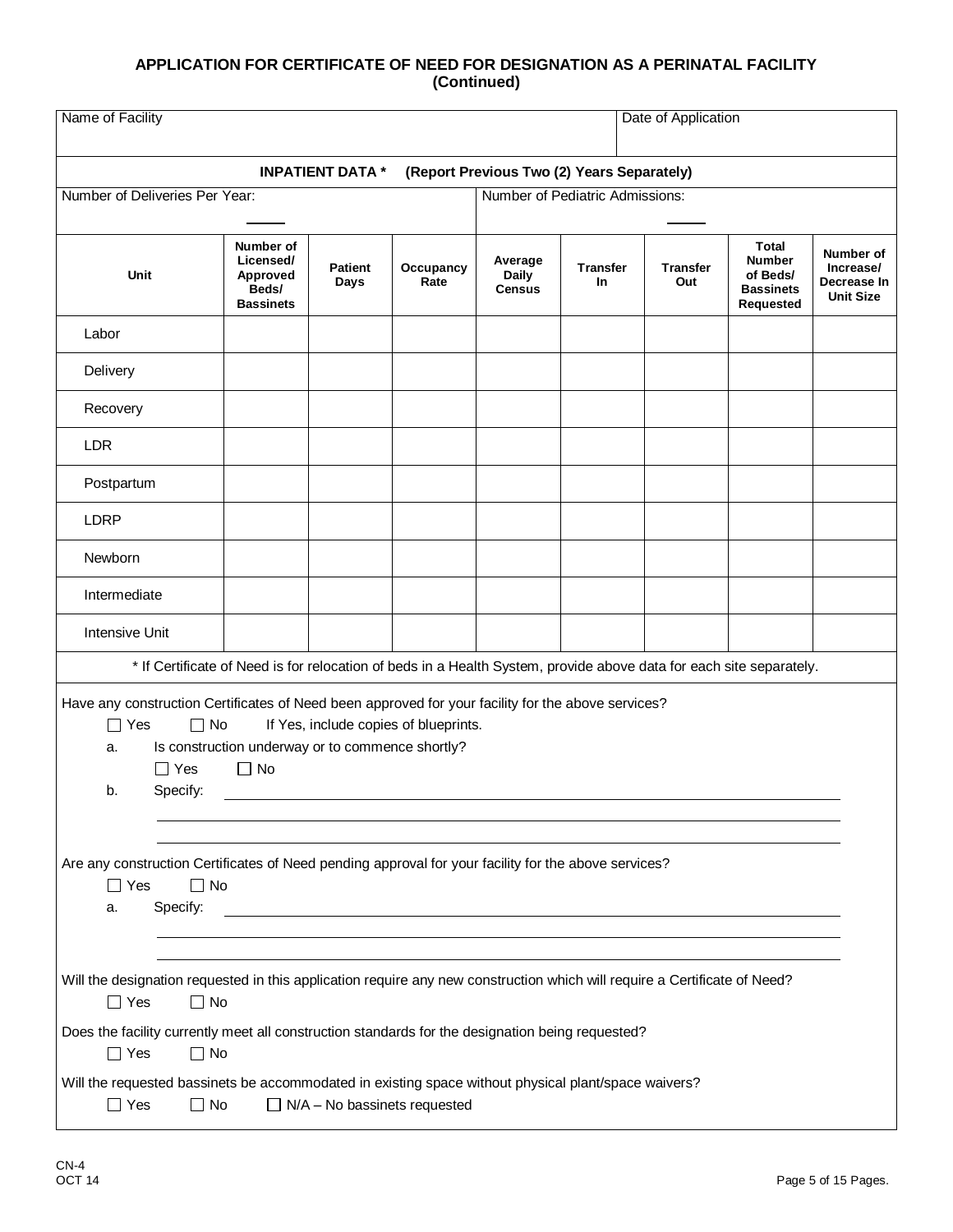|                                                                                                                                                                                                                                                                                                           |                                                                 | <b>INPATIENT DATA *</b> |                                       |                                          | (Report Previous Two (2) Years Separately) |                        |                                                                            |                                                           |
|-----------------------------------------------------------------------------------------------------------------------------------------------------------------------------------------------------------------------------------------------------------------------------------------------------------|-----------------------------------------------------------------|-------------------------|---------------------------------------|------------------------------------------|--------------------------------------------|------------------------|----------------------------------------------------------------------------|-----------------------------------------------------------|
| Number of Deliveries Per Year:                                                                                                                                                                                                                                                                            |                                                                 |                         |                                       |                                          | Number of Pediatric Admissions:            |                        |                                                                            |                                                           |
| Unit                                                                                                                                                                                                                                                                                                      | Number of<br>Licensed/<br>Approved<br>Beds/<br><b>Bassinets</b> | <b>Patient</b><br>Days  | Occupancy<br>Rate                     | Average<br><b>Daily</b><br><b>Census</b> | Transfer<br><b>In</b>                      | <b>Transfer</b><br>Out | <b>Total</b><br><b>Number</b><br>of Beds/<br><b>Bassinets</b><br>Requested | Number of<br>Increase/<br>Decrease In<br><b>Unit Size</b> |
| Labor                                                                                                                                                                                                                                                                                                     |                                                                 |                         |                                       |                                          |                                            |                        |                                                                            |                                                           |
| Delivery                                                                                                                                                                                                                                                                                                  |                                                                 |                         |                                       |                                          |                                            |                        |                                                                            |                                                           |
| Recovery                                                                                                                                                                                                                                                                                                  |                                                                 |                         |                                       |                                          |                                            |                        |                                                                            |                                                           |
| <b>LDR</b>                                                                                                                                                                                                                                                                                                |                                                                 |                         |                                       |                                          |                                            |                        |                                                                            |                                                           |
| Postpartum                                                                                                                                                                                                                                                                                                |                                                                 |                         |                                       |                                          |                                            |                        |                                                                            |                                                           |
| <b>LDRP</b>                                                                                                                                                                                                                                                                                               |                                                                 |                         |                                       |                                          |                                            |                        |                                                                            |                                                           |
| Newborn                                                                                                                                                                                                                                                                                                   |                                                                 |                         |                                       |                                          |                                            |                        |                                                                            |                                                           |
| Intermediate                                                                                                                                                                                                                                                                                              |                                                                 |                         |                                       |                                          |                                            |                        |                                                                            |                                                           |
| Intensive Unit                                                                                                                                                                                                                                                                                            |                                                                 |                         |                                       |                                          |                                            |                        |                                                                            |                                                           |
| * If Certificate of Need is for relocation of beds in a Health System, provide above data for each site separately.                                                                                                                                                                                       |                                                                 |                         |                                       |                                          |                                            |                        |                                                                            |                                                           |
| Have any construction Certificates of Need been approved for your facility for the above services?<br>$\Box$ Yes<br>$\Box$ No<br>a.<br>$\Box$ Yes<br>Specify:<br>b.<br>Are any construction Certificates of Need pending approval for your facility for the above services?<br>$\Box$ Yes<br>$\square$ No | Is construction underway or to commence shortly?<br>$\Box$ No   |                         | If Yes, include copies of blueprints. |                                          |                                            |                        |                                                                            |                                                           |
| Specify:<br>a.<br>Will the designation requested in this application require any new construction which will require a Certificate of Need?<br>$\Box$ Yes<br>$\Box$ No                                                                                                                                    |                                                                 |                         |                                       |                                          |                                            |                        |                                                                            |                                                           |
| Does the facility currently meet all construction standards for the designation being requested?                                                                                                                                                                                                          |                                                                 |                         |                                       |                                          |                                            |                        |                                                                            |                                                           |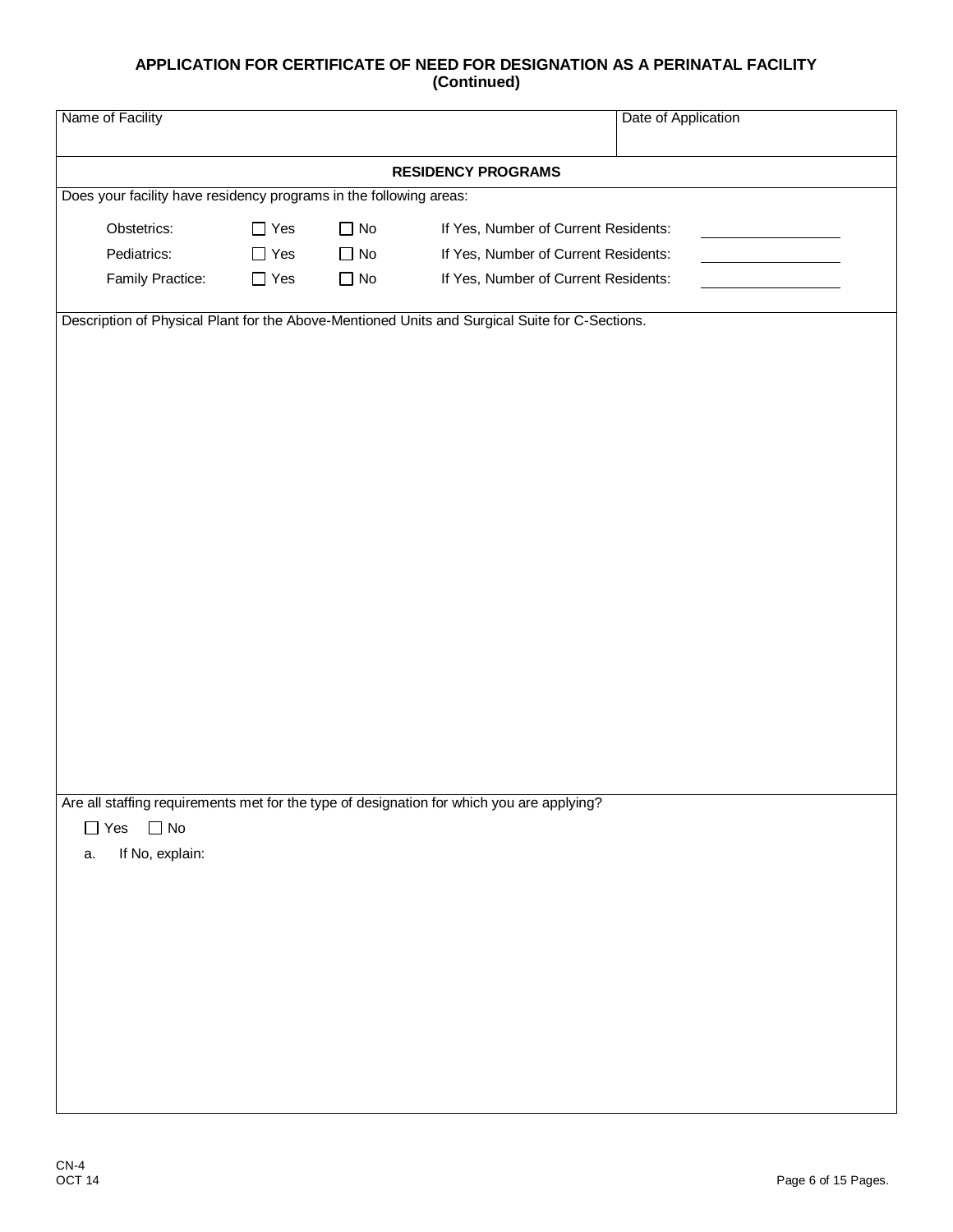| Name of Facility      |                                                                    |           |                                                                                                | Date of Application |
|-----------------------|--------------------------------------------------------------------|-----------|------------------------------------------------------------------------------------------------|---------------------|
|                       |                                                                    |           | <b>RESIDENCY PROGRAMS</b>                                                                      |                     |
|                       | Does your facility have residency programs in the following areas: |           |                                                                                                |                     |
| Obstetrics:           | $\Box$ Yes                                                         | $\Box$ No | If Yes, Number of Current Residents:                                                           |                     |
| Pediatrics:           | $\Box$ Yes                                                         | $\Box$ No | If Yes, Number of Current Residents:                                                           |                     |
| Family Practice:      | $\Box$ Yes                                                         | $\Box$ No | If Yes, Number of Current Residents:                                                           |                     |
|                       |                                                                    |           |                                                                                                |                     |
|                       |                                                                    |           | Description of Physical Plant for the Above-Mentioned Units and Surgical Suite for C-Sections. |                     |
|                       |                                                                    |           |                                                                                                |                     |
|                       |                                                                    |           |                                                                                                |                     |
|                       |                                                                    |           |                                                                                                |                     |
|                       |                                                                    |           |                                                                                                |                     |
|                       |                                                                    |           |                                                                                                |                     |
|                       |                                                                    |           |                                                                                                |                     |
|                       |                                                                    |           |                                                                                                |                     |
|                       |                                                                    |           |                                                                                                |                     |
|                       |                                                                    |           |                                                                                                |                     |
|                       |                                                                    |           |                                                                                                |                     |
|                       |                                                                    |           |                                                                                                |                     |
|                       |                                                                    |           |                                                                                                |                     |
|                       |                                                                    |           |                                                                                                |                     |
|                       |                                                                    |           |                                                                                                |                     |
|                       |                                                                    |           |                                                                                                |                     |
|                       |                                                                    |           |                                                                                                |                     |
|                       |                                                                    |           |                                                                                                |                     |
|                       |                                                                    |           | Are all staffing requirements met for the type of designation for which you are applying?      |                     |
| $\Box$ Yes $\Box$ No  |                                                                    |           |                                                                                                |                     |
| If No, explain:<br>a. |                                                                    |           |                                                                                                |                     |
|                       |                                                                    |           |                                                                                                |                     |
|                       |                                                                    |           |                                                                                                |                     |
|                       |                                                                    |           |                                                                                                |                     |
|                       |                                                                    |           |                                                                                                |                     |
|                       |                                                                    |           |                                                                                                |                     |
|                       |                                                                    |           |                                                                                                |                     |
|                       |                                                                    |           |                                                                                                |                     |
|                       |                                                                    |           |                                                                                                |                     |
|                       |                                                                    |           |                                                                                                |                     |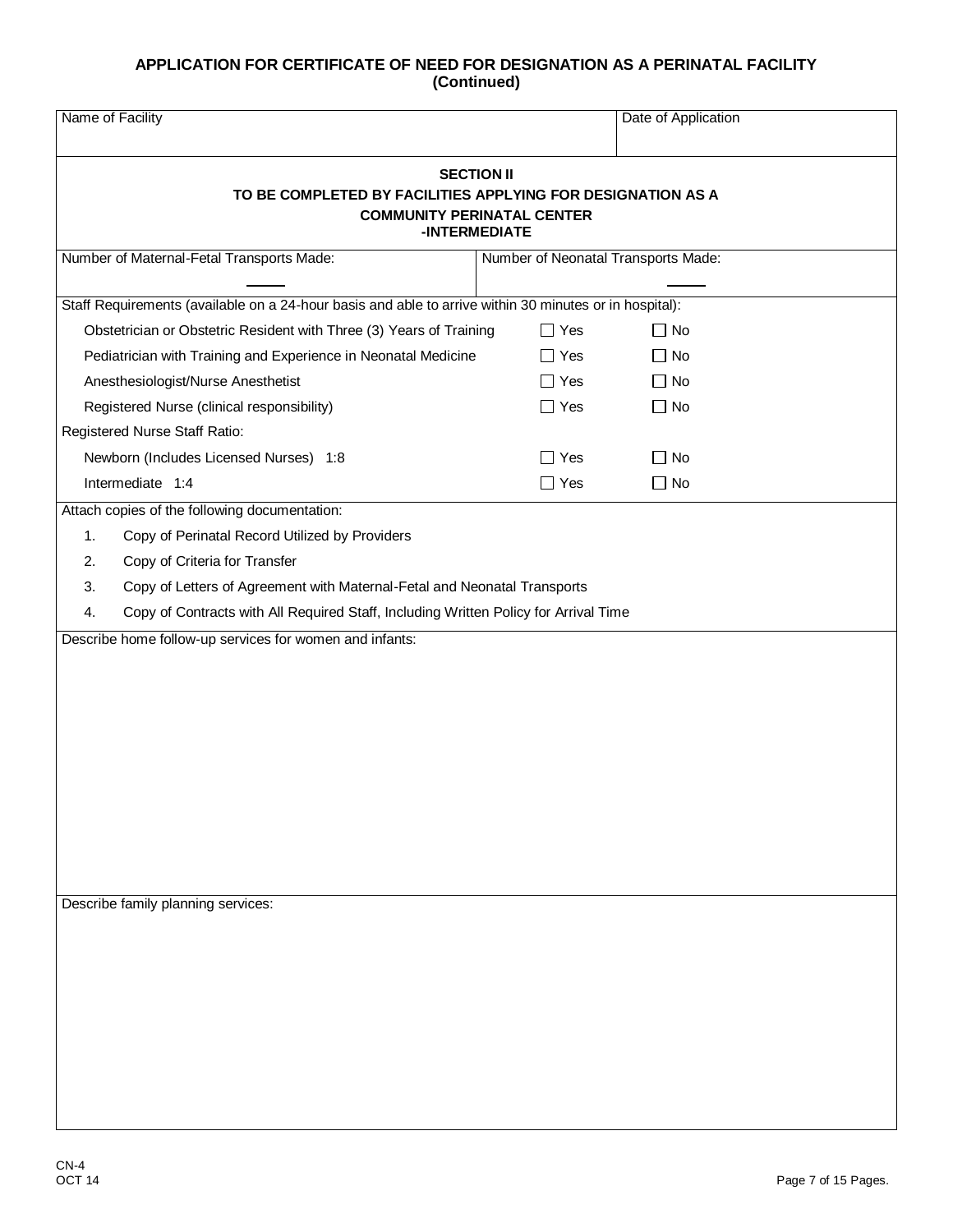| Name of Facility                                                                                                                       |            | Date of Application                 |  |  |
|----------------------------------------------------------------------------------------------------------------------------------------|------------|-------------------------------------|--|--|
| <b>SECTION II</b><br>TO BE COMPLETED BY FACILITIES APPLYING FOR DESIGNATION AS A<br><b>COMMUNITY PERINATAL CENTER</b><br>-INTERMEDIATE |            |                                     |  |  |
| Number of Maternal-Fetal Transports Made:                                                                                              |            | Number of Neonatal Transports Made: |  |  |
| Staff Requirements (available on a 24-hour basis and able to arrive within 30 minutes or in hospital):                                 |            |                                     |  |  |
| Obstetrician or Obstetric Resident with Three (3) Years of Training                                                                    | $\Box$ Yes | $\Box$ No                           |  |  |
| Pediatrician with Training and Experience in Neonatal Medicine                                                                         | $\Box$ Yes | $\Box$ No                           |  |  |
| Anesthesiologist/Nurse Anesthetist                                                                                                     | $\Box$ Yes | $\Box$ No                           |  |  |
| Registered Nurse (clinical responsibility)                                                                                             | $\Box$ Yes | $\Box$ No                           |  |  |
| Registered Nurse Staff Ratio:                                                                                                          |            |                                     |  |  |
| Newborn (Includes Licensed Nurses) 1:8                                                                                                 | $\Box$ Yes | $\Box$ No                           |  |  |
| Intermediate 1:4                                                                                                                       | $\Box$ Yes | $\Box$ No                           |  |  |
| Attach copies of the following documentation:                                                                                          |            |                                     |  |  |
| 1.<br>Copy of Perinatal Record Utilized by Providers                                                                                   |            |                                     |  |  |
| Copy of Criteria for Transfer<br>2.                                                                                                    |            |                                     |  |  |
| Copy of Letters of Agreement with Maternal-Fetal and Neonatal Transports<br>3.                                                         |            |                                     |  |  |
| Copy of Contracts with All Required Staff, Including Written Policy for Arrival Time<br>4.                                             |            |                                     |  |  |
| Describe home follow-up services for women and infants:                                                                                |            |                                     |  |  |
|                                                                                                                                        |            |                                     |  |  |
|                                                                                                                                        |            |                                     |  |  |
|                                                                                                                                        |            |                                     |  |  |
|                                                                                                                                        |            |                                     |  |  |
|                                                                                                                                        |            |                                     |  |  |
|                                                                                                                                        |            |                                     |  |  |
|                                                                                                                                        |            |                                     |  |  |
|                                                                                                                                        |            |                                     |  |  |
|                                                                                                                                        |            |                                     |  |  |
|                                                                                                                                        |            |                                     |  |  |
| Describe family planning services:                                                                                                     |            |                                     |  |  |
|                                                                                                                                        |            |                                     |  |  |
|                                                                                                                                        |            |                                     |  |  |
|                                                                                                                                        |            |                                     |  |  |
|                                                                                                                                        |            |                                     |  |  |
|                                                                                                                                        |            |                                     |  |  |
|                                                                                                                                        |            |                                     |  |  |
|                                                                                                                                        |            |                                     |  |  |
|                                                                                                                                        |            |                                     |  |  |
|                                                                                                                                        |            |                                     |  |  |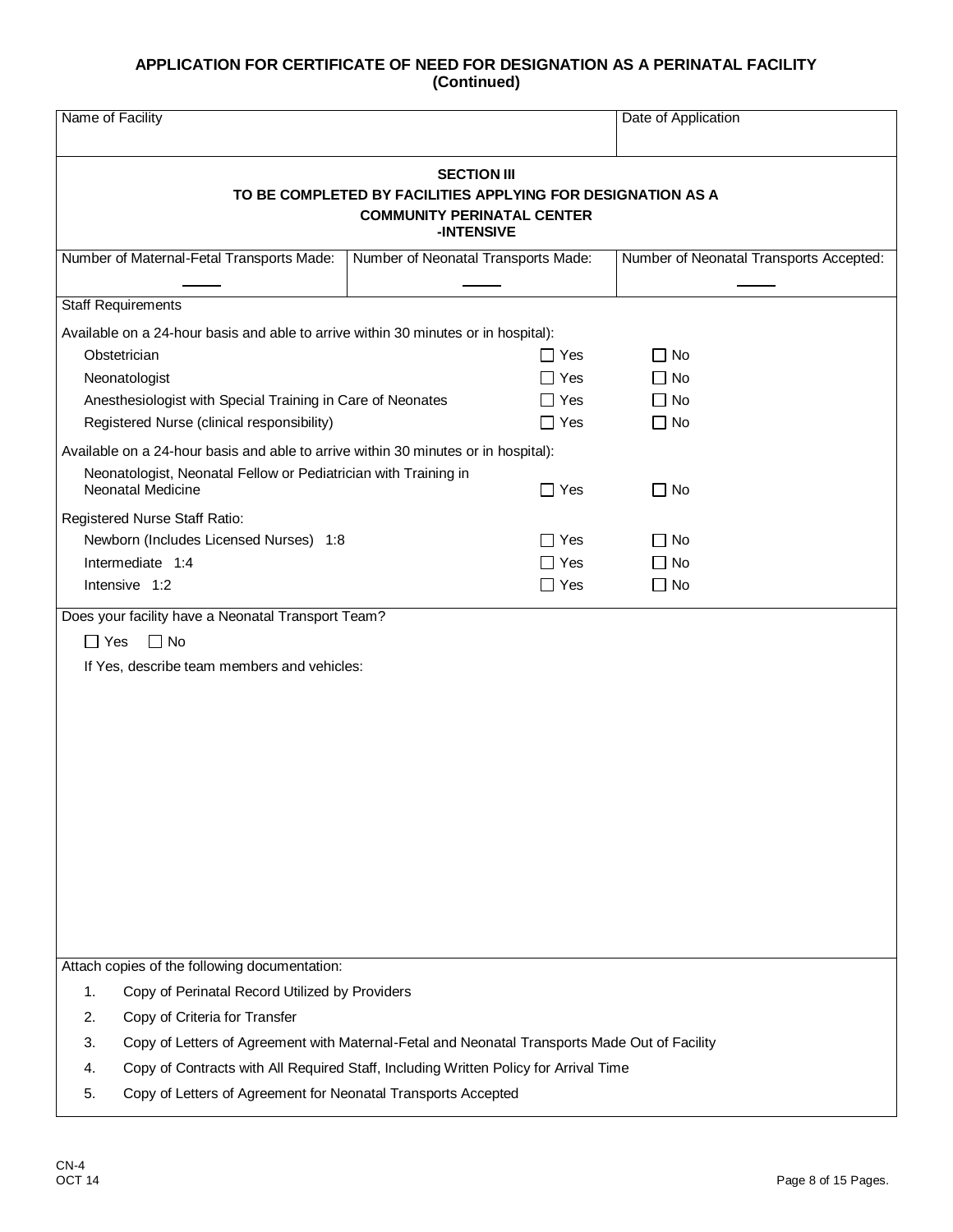| Name of Facility                                                                                                                     |                                     |            | Date of Application                     |  |
|--------------------------------------------------------------------------------------------------------------------------------------|-------------------------------------|------------|-----------------------------------------|--|
| <b>SECTION III</b><br>TO BE COMPLETED BY FACILITIES APPLYING FOR DESIGNATION AS A<br><b>COMMUNITY PERINATAL CENTER</b><br>-INTENSIVE |                                     |            |                                         |  |
| Number of Maternal-Fetal Transports Made:                                                                                            | Number of Neonatal Transports Made: |            | Number of Neonatal Transports Accepted: |  |
| <b>Staff Requirements</b>                                                                                                            |                                     |            |                                         |  |
| Available on a 24-hour basis and able to arrive within 30 minutes or in hospital):                                                   |                                     |            |                                         |  |
| Obstetrician                                                                                                                         |                                     | $\Box$ Yes | $\Box$ No                               |  |
| Neonatologist                                                                                                                        |                                     | $\Box$ Yes | $\Box$ No                               |  |
| Anesthesiologist with Special Training in Care of Neonates                                                                           |                                     | $\Box$ Yes | $\Box$ No                               |  |
| Registered Nurse (clinical responsibility)                                                                                           |                                     | $\Box$ Yes | $\Box$ No                               |  |
| Available on a 24-hour basis and able to arrive within 30 minutes or in hospital):                                                   |                                     |            |                                         |  |
| Neonatologist, Neonatal Fellow or Pediatrician with Training in                                                                      |                                     |            |                                         |  |
| <b>Neonatal Medicine</b>                                                                                                             |                                     | $\Box$ Yes | $\Box$ No                               |  |
| Registered Nurse Staff Ratio:                                                                                                        |                                     |            |                                         |  |
| Newborn (Includes Licensed Nurses) 1:8                                                                                               |                                     | $\Box$ Yes | $\Box$ No                               |  |
| Intermediate 1:4                                                                                                                     |                                     | $\Box$ Yes | $\Box$ No                               |  |
| Intensive 1:2                                                                                                                        |                                     | $\Box$ Yes | $\Box$ No                               |  |
| Does your facility have a Neonatal Transport Team?                                                                                   |                                     |            |                                         |  |
| $\Box$ Yes<br>$\Box$ No                                                                                                              |                                     |            |                                         |  |
| If Yes, describe team members and vehicles:                                                                                          |                                     |            |                                         |  |
|                                                                                                                                      |                                     |            |                                         |  |
|                                                                                                                                      |                                     |            |                                         |  |
|                                                                                                                                      |                                     |            |                                         |  |
|                                                                                                                                      |                                     |            |                                         |  |
|                                                                                                                                      |                                     |            |                                         |  |
|                                                                                                                                      |                                     |            |                                         |  |
|                                                                                                                                      |                                     |            |                                         |  |
|                                                                                                                                      |                                     |            |                                         |  |
|                                                                                                                                      |                                     |            |                                         |  |
|                                                                                                                                      |                                     |            |                                         |  |
|                                                                                                                                      |                                     |            |                                         |  |
|                                                                                                                                      |                                     |            |                                         |  |
| Attach copies of the following documentation:                                                                                        |                                     |            |                                         |  |
| 1.<br>Copy of Perinatal Record Utilized by Providers                                                                                 |                                     |            |                                         |  |
| Copy of Criteria for Transfer<br>2.                                                                                                  |                                     |            |                                         |  |
| Copy of Letters of Agreement with Maternal-Fetal and Neonatal Transports Made Out of Facility<br>3.                                  |                                     |            |                                         |  |
| Copy of Contracts with All Required Staff, Including Written Policy for Arrival Time<br>4.                                           |                                     |            |                                         |  |
| Copy of Letters of Agreement for Neonatal Transports Accepted<br>5.                                                                  |                                     |            |                                         |  |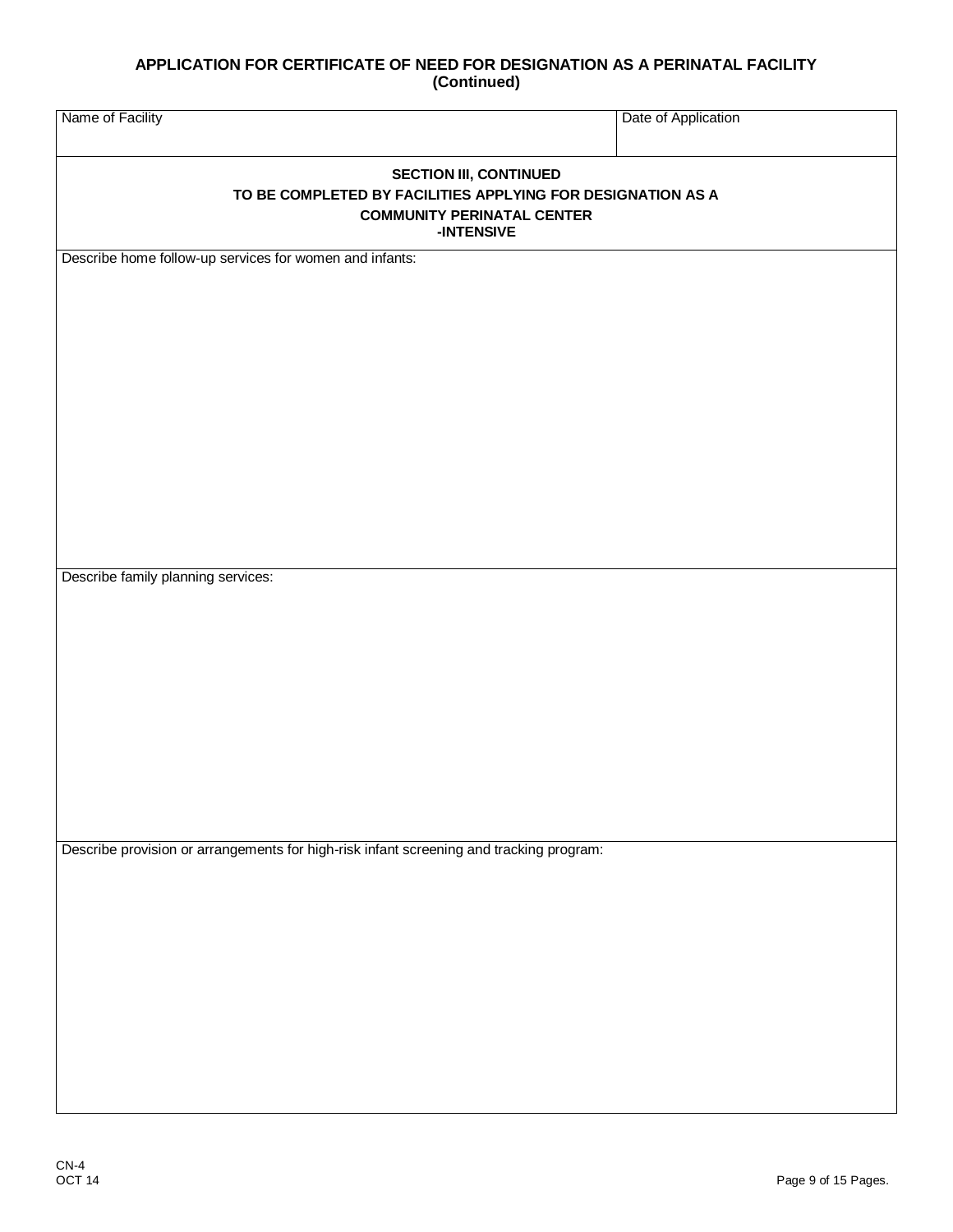| Name of Facility                                                                                                                                | Date of Application |  |  |  |
|-------------------------------------------------------------------------------------------------------------------------------------------------|---------------------|--|--|--|
| <b>SECTION III, CONTINUED</b><br>TO BE COMPLETED BY FACILITIES APPLYING FOR DESIGNATION AS A<br><b>COMMUNITY PERINATAL CENTER</b><br>-INTENSIVE |                     |  |  |  |
| Describe home follow-up services for women and infants:                                                                                         |                     |  |  |  |
|                                                                                                                                                 |                     |  |  |  |
|                                                                                                                                                 |                     |  |  |  |
|                                                                                                                                                 |                     |  |  |  |
|                                                                                                                                                 |                     |  |  |  |
|                                                                                                                                                 |                     |  |  |  |
|                                                                                                                                                 |                     |  |  |  |
|                                                                                                                                                 |                     |  |  |  |
| Describe family planning services:                                                                                                              |                     |  |  |  |
|                                                                                                                                                 |                     |  |  |  |
|                                                                                                                                                 |                     |  |  |  |
|                                                                                                                                                 |                     |  |  |  |
|                                                                                                                                                 |                     |  |  |  |
|                                                                                                                                                 |                     |  |  |  |
|                                                                                                                                                 |                     |  |  |  |
| Describe provision or arrangements for high-risk infant screening and tracking program:                                                         |                     |  |  |  |
|                                                                                                                                                 |                     |  |  |  |
|                                                                                                                                                 |                     |  |  |  |
|                                                                                                                                                 |                     |  |  |  |
|                                                                                                                                                 |                     |  |  |  |
|                                                                                                                                                 |                     |  |  |  |
|                                                                                                                                                 |                     |  |  |  |
|                                                                                                                                                 |                     |  |  |  |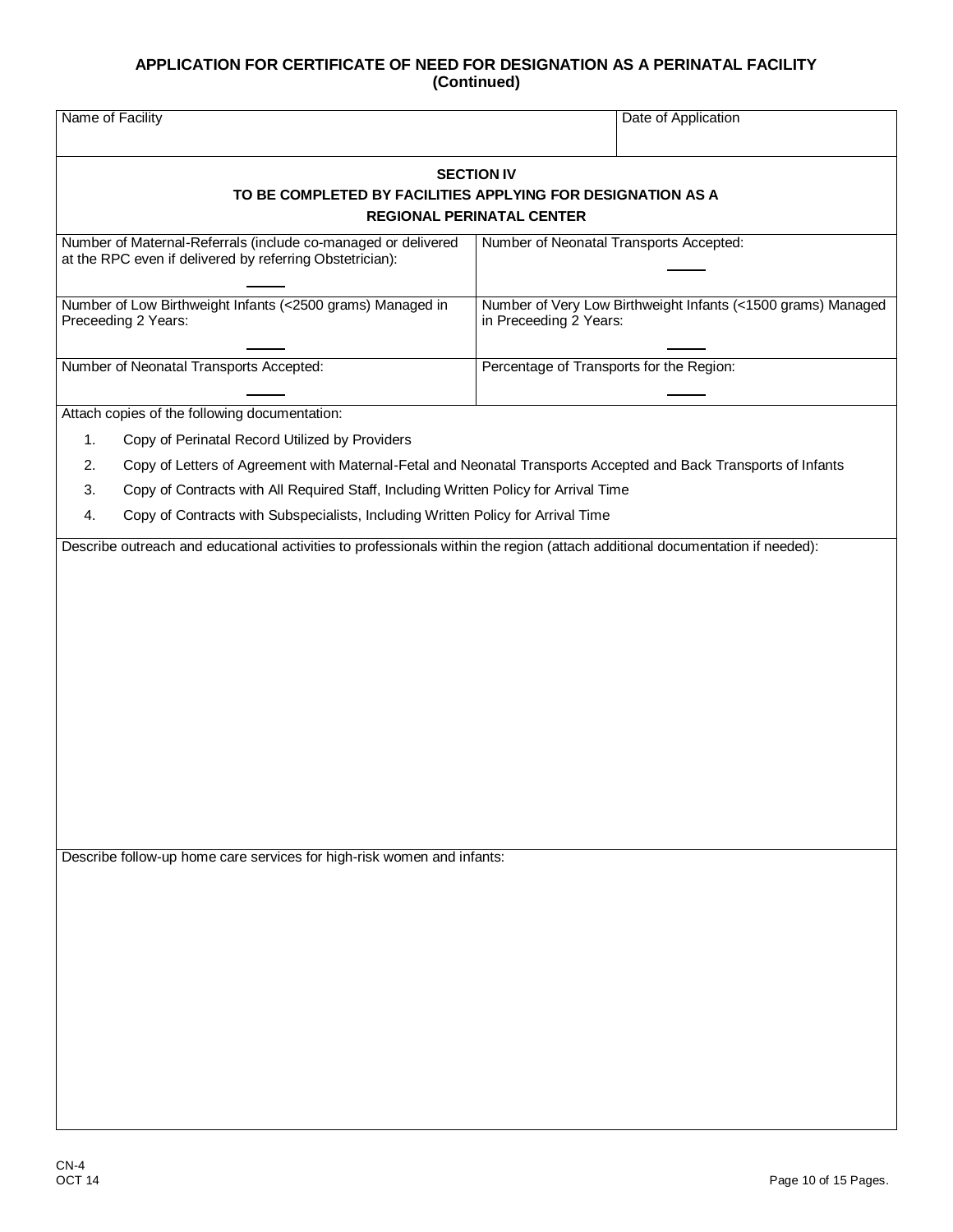| Name of Facility                                                                                                                                                                                                                                                                                                                                                                                                                                                                                                                                        |                                                       | Date of Application                                          |
|---------------------------------------------------------------------------------------------------------------------------------------------------------------------------------------------------------------------------------------------------------------------------------------------------------------------------------------------------------------------------------------------------------------------------------------------------------------------------------------------------------------------------------------------------------|-------------------------------------------------------|--------------------------------------------------------------|
| TO BE COMPLETED BY FACILITIES APPLYING FOR DESIGNATION AS A                                                                                                                                                                                                                                                                                                                                                                                                                                                                                             | <b>SECTION IV</b><br><b>REGIONAL PERINATAL CENTER</b> |                                                              |
| Number of Maternal-Referrals (include co-managed or delivered<br>at the RPC even if delivered by referring Obstetrician):                                                                                                                                                                                                                                                                                                                                                                                                                               | Number of Neonatal Transports Accepted:               |                                                              |
| Number of Low Birthweight Infants (<2500 grams) Managed in<br>Preceeding 2 Years:                                                                                                                                                                                                                                                                                                                                                                                                                                                                       | in Preceeding 2 Years:                                | Number of Very Low Birthweight Infants (<1500 grams) Managed |
| Number of Neonatal Transports Accepted:                                                                                                                                                                                                                                                                                                                                                                                                                                                                                                                 | Percentage of Transports for the Region:              |                                                              |
| Attach copies of the following documentation:<br>Copy of Perinatal Record Utilized by Providers<br>1.<br>Copy of Letters of Agreement with Maternal-Fetal and Neonatal Transports Accepted and Back Transports of Infants<br>2.<br>Copy of Contracts with All Required Staff, Including Written Policy for Arrival Time<br>3.<br>Copy of Contracts with Subspecialists, Including Written Policy for Arrival Time<br>4.<br>Describe outreach and educational activities to professionals within the region (attach additional documentation if needed): |                                                       |                                                              |
| Describe follow-up home care services for high-risk women and infants:                                                                                                                                                                                                                                                                                                                                                                                                                                                                                  |                                                       |                                                              |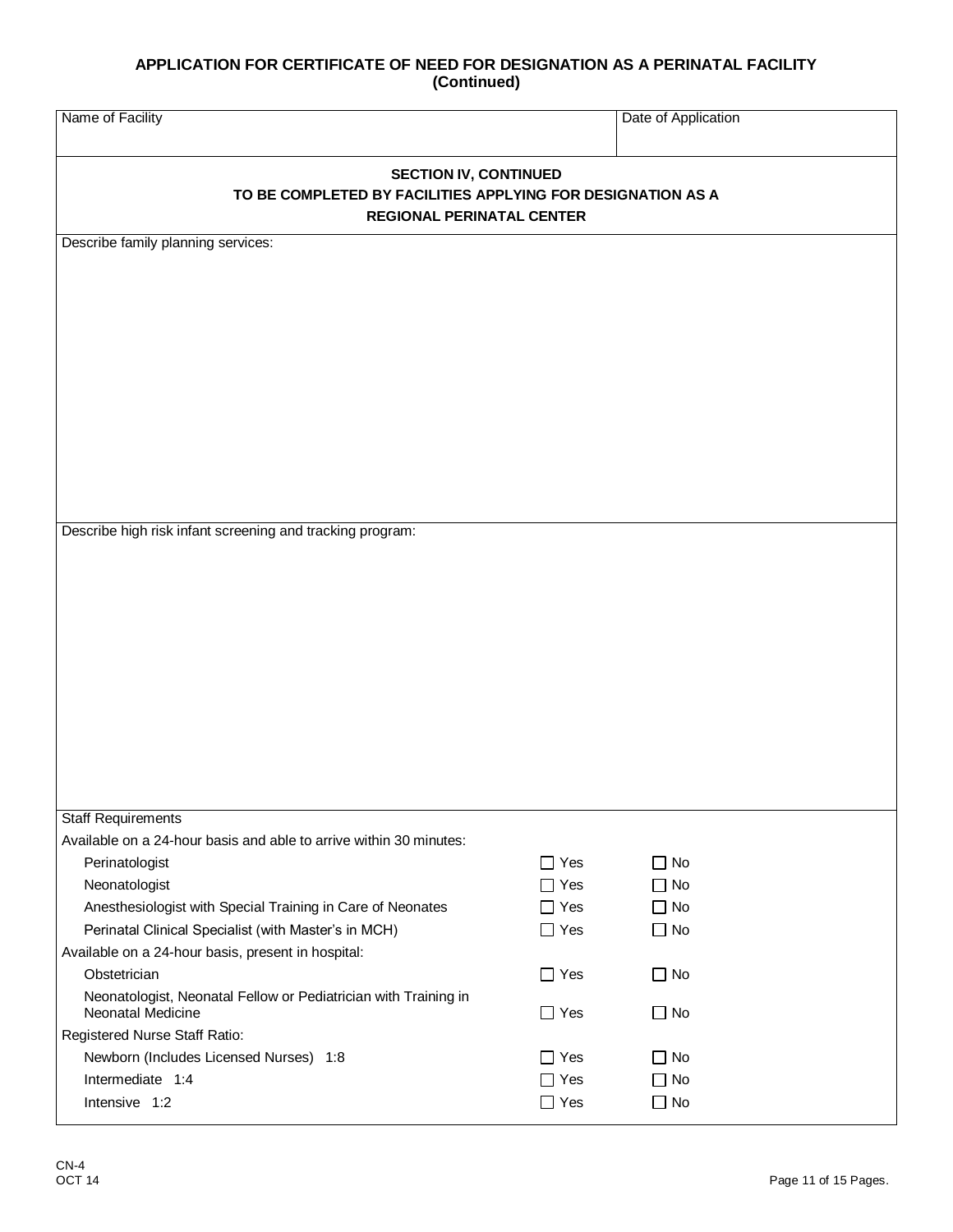| Name of Facility                                                                                                                |            | Date of Application |  |  |
|---------------------------------------------------------------------------------------------------------------------------------|------------|---------------------|--|--|
| <b>SECTION IV, CONTINUED</b><br>TO BE COMPLETED BY FACILITIES APPLYING FOR DESIGNATION AS A<br><b>REGIONAL PERINATAL CENTER</b> |            |                     |  |  |
| Describe family planning services:                                                                                              |            |                     |  |  |
|                                                                                                                                 |            |                     |  |  |
|                                                                                                                                 |            |                     |  |  |
|                                                                                                                                 |            |                     |  |  |
|                                                                                                                                 |            |                     |  |  |
|                                                                                                                                 |            |                     |  |  |
|                                                                                                                                 |            |                     |  |  |
|                                                                                                                                 |            |                     |  |  |
|                                                                                                                                 |            |                     |  |  |
|                                                                                                                                 |            |                     |  |  |
|                                                                                                                                 |            |                     |  |  |
|                                                                                                                                 |            |                     |  |  |
|                                                                                                                                 |            |                     |  |  |
|                                                                                                                                 |            |                     |  |  |
| Describe high risk infant screening and tracking program:                                                                       |            |                     |  |  |
|                                                                                                                                 |            |                     |  |  |
|                                                                                                                                 |            |                     |  |  |
|                                                                                                                                 |            |                     |  |  |
|                                                                                                                                 |            |                     |  |  |
|                                                                                                                                 |            |                     |  |  |
|                                                                                                                                 |            |                     |  |  |
|                                                                                                                                 |            |                     |  |  |
|                                                                                                                                 |            |                     |  |  |
|                                                                                                                                 |            |                     |  |  |
|                                                                                                                                 |            |                     |  |  |
|                                                                                                                                 |            |                     |  |  |
|                                                                                                                                 |            |                     |  |  |
| <b>Staff Requirements</b>                                                                                                       |            |                     |  |  |
| Available on a 24-hour basis and able to arrive within 30 minutes:                                                              |            |                     |  |  |
| Perinatologist                                                                                                                  | $\Box$ Yes | $\square$ No        |  |  |
| Neonatologist                                                                                                                   | $\Box$ Yes | $\Box$ No           |  |  |
| Anesthesiologist with Special Training in Care of Neonates                                                                      | $\Box$ Yes | $\Box$ No           |  |  |
| Perinatal Clinical Specialist (with Master's in MCH)                                                                            | $\Box$ Yes | $\Box$ No           |  |  |
| Available on a 24-hour basis, present in hospital:                                                                              |            |                     |  |  |
| Obstetrician                                                                                                                    | $\Box$ Yes | $\Box$ No           |  |  |
| Neonatologist, Neonatal Fellow or Pediatrician with Training in<br>Neonatal Medicine                                            | $\Box$ Yes | $\Box$ No           |  |  |
| Registered Nurse Staff Ratio:                                                                                                   |            |                     |  |  |
| Newborn (Includes Licensed Nurses) 1:8                                                                                          | $\Box$ Yes | $\Box$ No           |  |  |
| Intermediate 1:4                                                                                                                | $\Box$ Yes | $\Box$ No           |  |  |
| Intensive 1:2                                                                                                                   | $\Box$ Yes | $\Box$ No           |  |  |
|                                                                                                                                 |            |                     |  |  |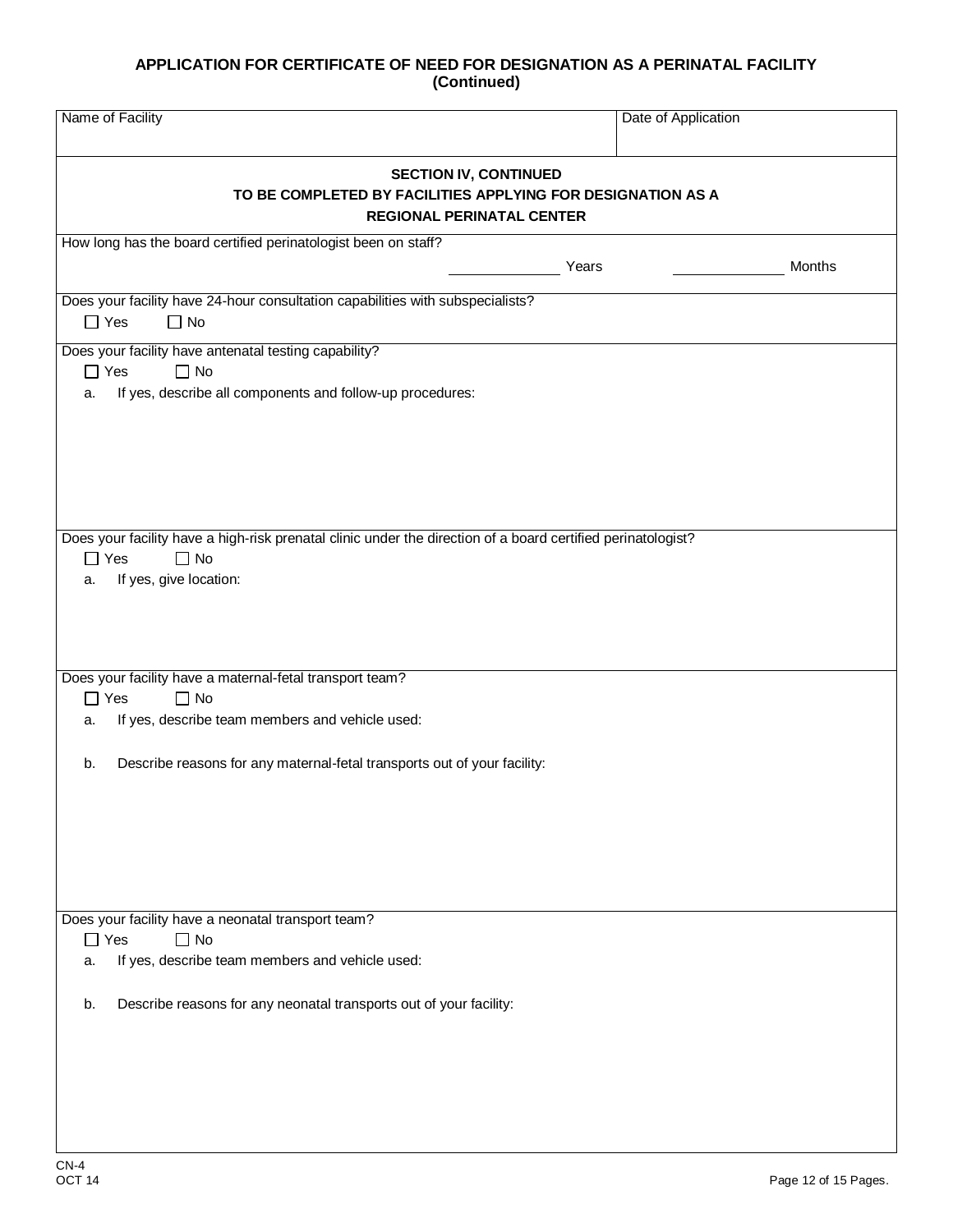| Name of Facility                                                                                                                | Date of Application |        |  |
|---------------------------------------------------------------------------------------------------------------------------------|---------------------|--------|--|
| <b>SECTION IV, CONTINUED</b><br>TO BE COMPLETED BY FACILITIES APPLYING FOR DESIGNATION AS A<br><b>REGIONAL PERINATAL CENTER</b> |                     |        |  |
| How long has the board certified perinatologist been on staff?                                                                  |                     |        |  |
|                                                                                                                                 | Years               | Months |  |
| Does your facility have 24-hour consultation capabilities with subspecialists?                                                  |                     |        |  |
| $\Box$ No<br>$\Box$ Yes                                                                                                         |                     |        |  |
| Does your facility have antenatal testing capability?                                                                           |                     |        |  |
| $\Box$ Yes<br>$\Box$ No                                                                                                         |                     |        |  |
| If yes, describe all components and follow-up procedures:<br>a.                                                                 |                     |        |  |
|                                                                                                                                 |                     |        |  |
|                                                                                                                                 |                     |        |  |
|                                                                                                                                 |                     |        |  |
|                                                                                                                                 |                     |        |  |
|                                                                                                                                 |                     |        |  |
|                                                                                                                                 |                     |        |  |
| Does your facility have a high-risk prenatal clinic under the direction of a board certified perinatologist?                    |                     |        |  |
| $\Box$ Yes<br>$\Box$ No                                                                                                         |                     |        |  |
| If yes, give location:<br>a.                                                                                                    |                     |        |  |
|                                                                                                                                 |                     |        |  |
|                                                                                                                                 |                     |        |  |
|                                                                                                                                 |                     |        |  |
| Does your facility have a maternal-fetal transport team?                                                                        |                     |        |  |
| $\Box$ Yes<br>$\Box$ No                                                                                                         |                     |        |  |
| If yes, describe team members and vehicle used:<br>a.                                                                           |                     |        |  |
|                                                                                                                                 |                     |        |  |
|                                                                                                                                 |                     |        |  |
| Describe reasons for any maternal-fetal transports out of your facility:<br>b.                                                  |                     |        |  |
|                                                                                                                                 |                     |        |  |
|                                                                                                                                 |                     |        |  |
|                                                                                                                                 |                     |        |  |
|                                                                                                                                 |                     |        |  |
|                                                                                                                                 |                     |        |  |
|                                                                                                                                 |                     |        |  |
| Does your facility have a neonatal transport team?                                                                              |                     |        |  |
| $\Box$ Yes<br>$\Box$ No                                                                                                         |                     |        |  |
| If yes, describe team members and vehicle used:<br>a.                                                                           |                     |        |  |
|                                                                                                                                 |                     |        |  |
| Describe reasons for any neonatal transports out of your facility:<br>b.                                                        |                     |        |  |
|                                                                                                                                 |                     |        |  |
|                                                                                                                                 |                     |        |  |
|                                                                                                                                 |                     |        |  |
|                                                                                                                                 |                     |        |  |
|                                                                                                                                 |                     |        |  |
|                                                                                                                                 |                     |        |  |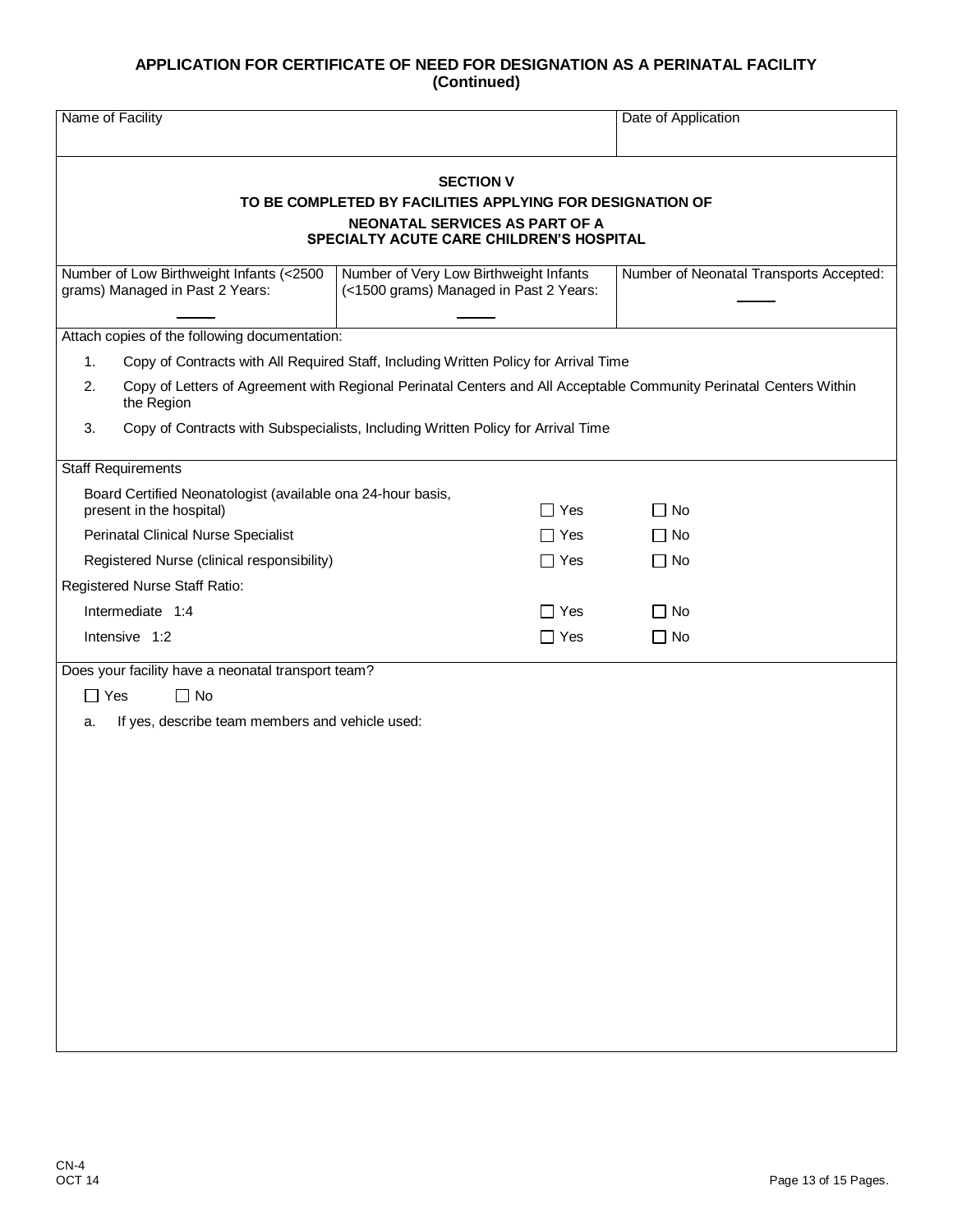| Name of Facility                                                                                                                                                                                                                                                                      |                                                                                  | Date of Application                     |  |  |  |
|---------------------------------------------------------------------------------------------------------------------------------------------------------------------------------------------------------------------------------------------------------------------------------------|----------------------------------------------------------------------------------|-----------------------------------------|--|--|--|
| <b>SECTION V</b><br>TO BE COMPLETED BY FACILITIES APPLYING FOR DESIGNATION OF<br><b>NEONATAL SERVICES AS PART OF A</b><br><b>SPECIALTY ACUTE CARE CHILDREN'S HOSPITAL</b>                                                                                                             |                                                                                  |                                         |  |  |  |
| Number of Low Birthweight Infants (<2500<br>grams) Managed in Past 2 Years:                                                                                                                                                                                                           | Number of Very Low Birthweight Infants<br>(<1500 grams) Managed in Past 2 Years: | Number of Neonatal Transports Accepted: |  |  |  |
| Attach copies of the following documentation:<br>Copy of Contracts with All Required Staff, Including Written Policy for Arrival Time<br>1.<br>Copy of Letters of Agreement with Regional Perinatal Centers and All Acceptable Community Perinatal Centers Within<br>2.<br>the Region |                                                                                  |                                         |  |  |  |
| Copy of Contracts with Subspecialists, Including Written Policy for Arrival Time<br>3.<br><b>Staff Requirements</b>                                                                                                                                                                   |                                                                                  |                                         |  |  |  |
| Board Certified Neonatologist (available ona 24-hour basis,<br>present in the hospital)<br><b>Perinatal Clinical Nurse Specialist</b><br>Registered Nurse (clinical responsibility)                                                                                                   | $\Box$ Yes<br>$\Box$ Yes<br>$\Box$ Yes                                           | $\Box$ No<br>$\Box$ No<br>$\Box$ No     |  |  |  |
| Registered Nurse Staff Ratio:<br>Intermediate 1:4<br>Intensive 1:2                                                                                                                                                                                                                    | $\Box$ Yes<br>$\Box$ Yes                                                         | $\Box$ No<br>$\Box$ No                  |  |  |  |
| Does your facility have a neonatal transport team?<br>$\Box$ Yes<br>$\Box$ No<br>If yes, describe team members and vehicle used:<br>a.                                                                                                                                                |                                                                                  |                                         |  |  |  |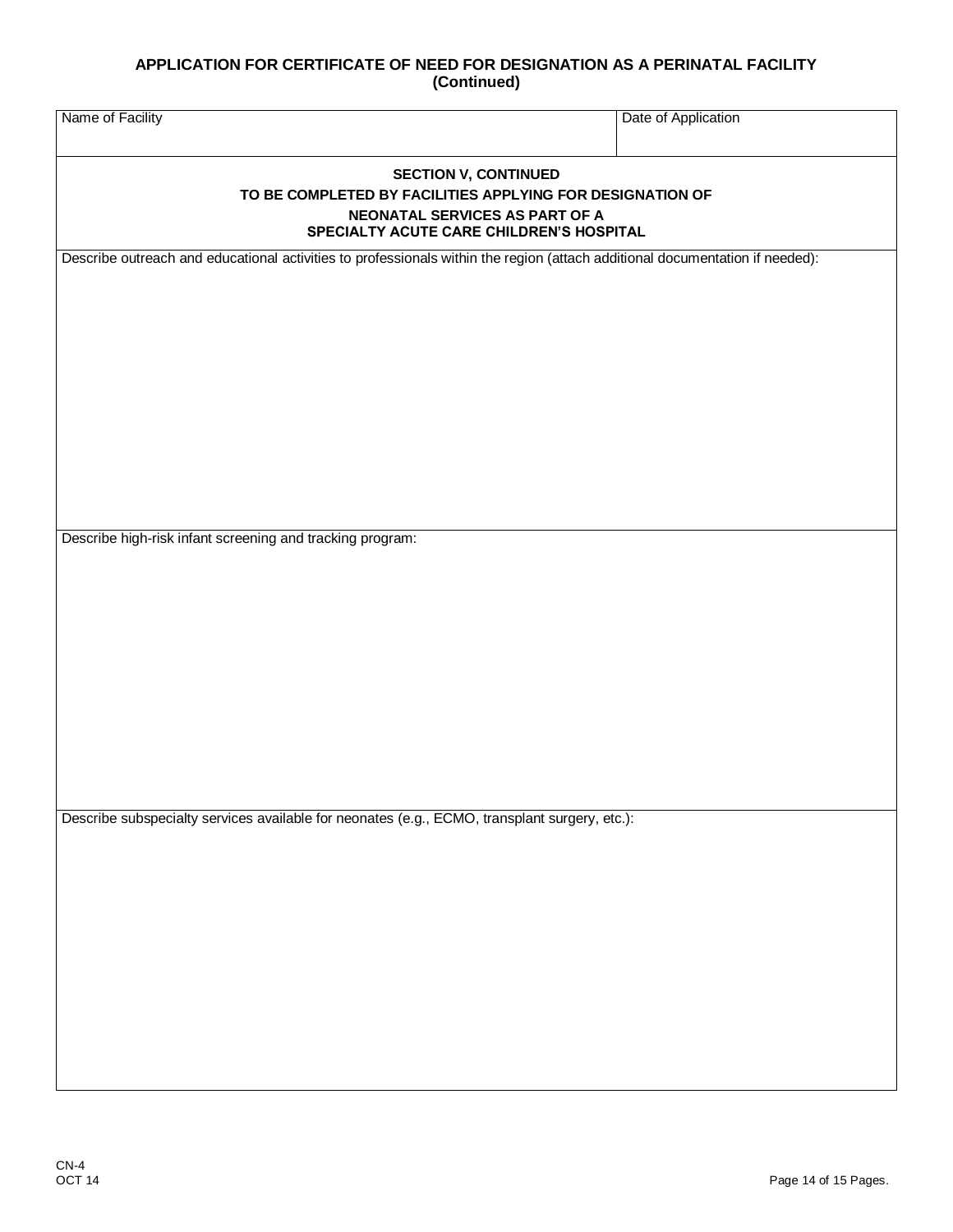| Name of Facility                                                                                                                                                       | Date of Application |  |
|------------------------------------------------------------------------------------------------------------------------------------------------------------------------|---------------------|--|
| <b>SECTION V, CONTINUED</b><br>TO BE COMPLETED BY FACILITIES APPLYING FOR DESIGNATION OF<br>NEONATAL SERVICES AS PART OF A<br>SPECIALTY ACUTE CARE CHILDREN'S HOSPITAL |                     |  |
| Describe outreach and educational activities to professionals within the region (attach additional documentation if needed):                                           |                     |  |
| Describe high-risk infant screening and tracking program:                                                                                                              |                     |  |
|                                                                                                                                                                        |                     |  |
| Describe subspecialty services available for neonates (e.g., ECMO, transplant surgery, etc.):                                                                          |                     |  |